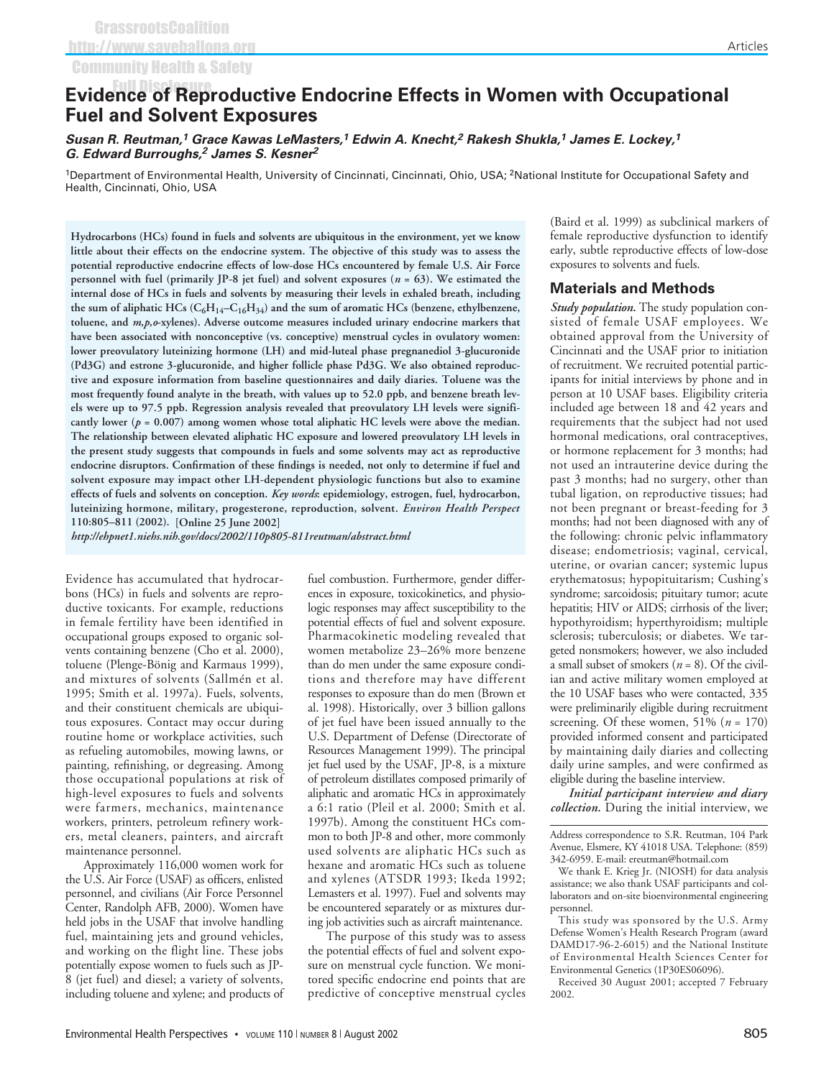# **Evidence of Reproductive Endocrine Effects in Women with Occupational Fuel and Solvent Exposures**

*Susan R. Reutman,1 Grace Kawas LeMasters,<sup>1</sup> Edwin A. Knecht,2 Rakesh Shukla,1 James E. Lockey,1 G. Edward Burroughs,2 James S. Kesner<sup>2</sup>*

<sup>1</sup>Department of Environmental Health, University of Cincinnati, Cincinnati, Ohio, USA; <sup>2</sup>National Institute for Occupational Safety and Health, Cincinnati, Ohio, USA

**Hydrocarbons (HCs) found in fuels and solvents are ubiquitous in the environment, yet we know little about their effects on the endocrine system. The objective of this study was to assess the potential reproductive endocrine effects of low-dose HCs encountered by female U.S. Air Force personnel with fuel (primarily JP-8 jet fuel) and solvent exposures (** $n = 63$ **). We estimated the internal dose of HCs in fuels and solvents by measuring their levels in exhaled breath, including the sum of aliphatic HCs (C6H14–C16H34) and the sum of aromatic HCs (benzene, ethylbenzene, toluene, and** *m,p,o***-xylenes). Adverse outcome measures included urinary endocrine markers that have been associated with nonconceptive (vs. conceptive) menstrual cycles in ovulatory women: lower preovulatory luteinizing hormone (LH) and mid-luteal phase pregnanediol 3-glucuronide (Pd3G) and estrone 3-glucuronide, and higher follicle phase Pd3G. We also obtained reproductive and exposure information from baseline questionnaires and daily diaries. Toluene was the most frequently found analyte in the breath, with values up to 52.0 ppb, and benzene breath levels were up to 97.5 ppb. Regression analysis revealed that preovulatory LH levels were significantly lower (***p* **= 0.007) among women whose total aliphatic HC levels were above the median. The relationship between elevated aliphatic HC exposure and lowered preovulatory LH levels in the present study suggests that compounds in fuels and some solvents may act as reproductive endocrine disruptors. Confirmation of these findings is needed, not only to determine if fuel and solvent exposure may impact other LH-dependent physiologic functions but also to examine effects of fuels and solvents on conception.** *Key words***: epidemiology, estrogen, fuel, hydrocarbon, luteinizing hormone, military, progesterone, reproduction, solvent.** *Environ Health Perspect* **110:805–811 (2002). [Online 25 June 2002]**

*http://ehpnet1.niehs.nih.gov/docs/2002/110p805-811reutman/abstract.html*

Evidence has accumulated that hydrocarbons (HCs) in fuels and solvents are reproductive toxicants. For example, reductions in female fertility have been identified in occupational groups exposed to organic solvents containing benzene (Cho et al. 2000), toluene (Plenge-Bönig and Karmaus 1999), and mixtures of solvents (Sallmén et al. 1995; Smith et al. 1997a). Fuels, solvents, and their constituent chemicals are ubiquitous exposures. Contact may occur during routine home or workplace activities, such as refueling automobiles, mowing lawns, or painting, refinishing, or degreasing. Among those occupational populations at risk of high-level exposures to fuels and solvents were farmers, mechanics, maintenance workers, printers, petroleum refinery workers, metal cleaners, painters, and aircraft maintenance personnel.

Approximately 116,000 women work for the U.S. Air Force (USAF) as officers, enlisted personnel, and civilians (Air Force Personnel Center, Randolph AFB, 2000). Women have held jobs in the USAF that involve handling fuel, maintaining jets and ground vehicles, and working on the flight line. These jobs potentially expose women to fuels such as JP-8 (jet fuel) and diesel; a variety of solvents, including toluene and xylene; and products of fuel combustion. Furthermore, gender differences in exposure, toxicokinetics, and physiologic responses may affect susceptibility to the potential effects of fuel and solvent exposure. Pharmacokinetic modeling revealed that women metabolize 23–26% more benzene than do men under the same exposure conditions and therefore may have different responses to exposure than do men (Brown et al. 1998). Historically, over 3 billion gallons of jet fuel have been issued annually to the U.S. Department of Defense (Directorate of Resources Management 1999). The principal jet fuel used by the USAF, JP-8, is a mixture of petroleum distillates composed primarily of aliphatic and aromatic HCs in approximately a 6:1 ratio (Pleil et al. 2000; Smith et al. 1997b). Among the constituent HCs common to both JP-8 and other, more commonly used solvents are aliphatic HCs such as hexane and aromatic HCs such as toluene and xylenes (ATSDR 1993; Ikeda 1992; Lemasters et al. 1997). Fuel and solvents may be encountered separately or as mixtures during job activities such as aircraft maintenance.

The purpose of this study was to assess the potential effects of fuel and solvent exposure on menstrual cycle function. We monitored specific endocrine end points that are predictive of conceptive menstrual cycles (Baird et al. 1999) as subclinical markers of female reproductive dysfunction to identify early, subtle reproductive effects of low-dose exposures to solvents and fuels.

#### **Materials and Methods**

*Study population.* The study population consisted of female USAF employees. We obtained approval from the University of Cincinnati and the USAF prior to initiation of recruitment. We recruited potential participants for initial interviews by phone and in person at 10 USAF bases. Eligibility criteria included age between 18 and 42 years and requirements that the subject had not used hormonal medications, oral contraceptives, or hormone replacement for 3 months; had not used an intrauterine device during the past 3 months; had no surgery, other than tubal ligation, on reproductive tissues; had not been pregnant or breast-feeding for 3 months; had not been diagnosed with any of the following: chronic pelvic inflammatory disease; endometriosis; vaginal, cervical, uterine, or ovarian cancer; systemic lupus erythematosus; hypopituitarism; Cushing's syndrome; sarcoidosis; pituitary tumor; acute hepatitis; HIV or AIDS; cirrhosis of the liver; hypothyroidism; hyperthyroidism; multiple sclerosis; tuberculosis; or diabetes. We targeted nonsmokers; however, we also included a small subset of smokers  $(n = 8)$ . Of the civilian and active military women employed at the 10 USAF bases who were contacted, 335 were preliminarily eligible during recruitment screening. Of these women,  $51\%$  ( $n = 170$ ) provided informed consent and participated by maintaining daily diaries and collecting daily urine samples, and were confirmed as eligible during the baseline interview.

*Initial participant interview and diary collection.* During the initial interview, we

Address correspondence to S.R. Reutman, 104 Park Avenue, Elsmere, KY 41018 USA. Telephone: (859) 342-6959. E-mail: ereutman@hotmail.com

Received 30 August 2001; accepted 7 February 2002.

We thank E. Krieg Jr. (NIOSH) for data analysis assistance; we also thank USAF participants and collaborators and on-site bioenvironmental engineering personnel.

This study was sponsored by the U.S. Army Defense Women's Health Research Program (award DAMD17-96-2-6015) and the National Institute of Environmental Health Sciences Center for Environmental Genetics (1P30ES06096).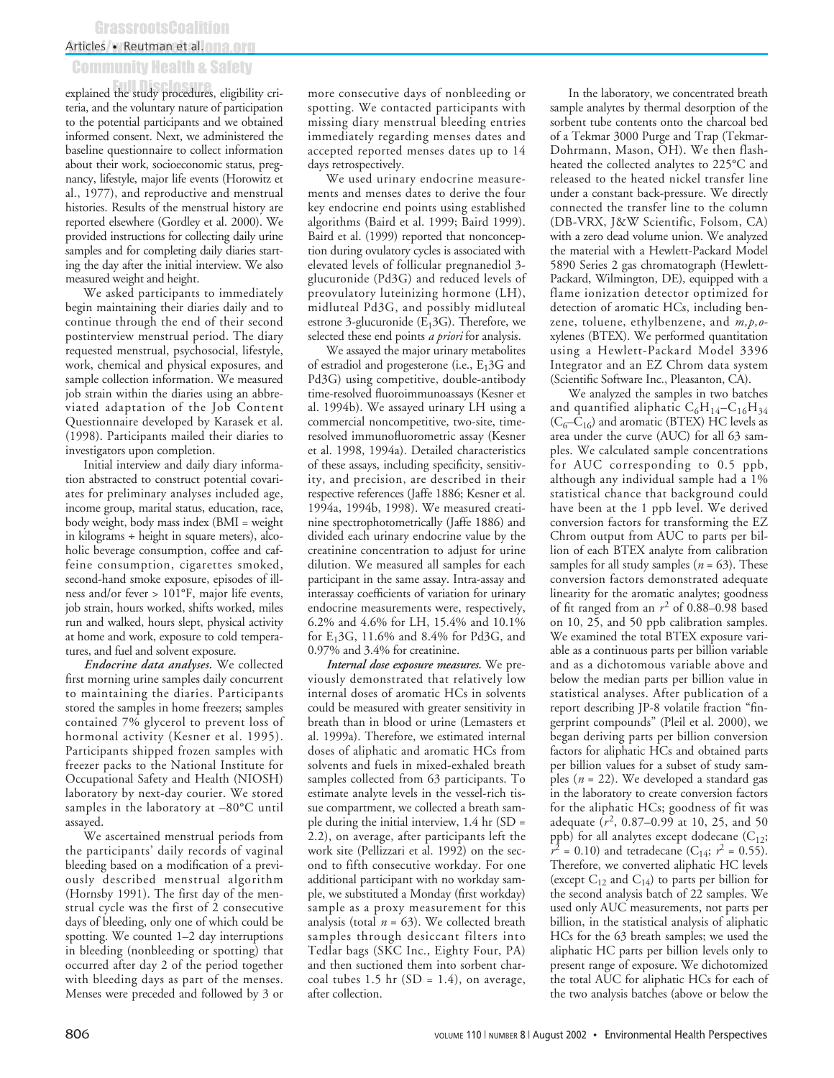## Articles • Reutman et al.

# Community Health & Safety

explained the study procedures, eligibility criteria, and the voluntary nature of participation to the potential participants and we obtained informed consent. Next, we administered the baseline questionnaire to collect information about their work, socioeconomic status, pregnancy, lifestyle, major life events (Horowitz et al., 1977), and reproductive and menstrual histories. Results of the menstrual history are reported elsewhere (Gordley et al. 2000). We provided instructions for collecting daily urine samples and for completing daily diaries starting the day after the initial interview. We also measured weight and height.

We asked participants to immediately begin maintaining their diaries daily and to continue through the end of their second postinterview menstrual period. The diary requested menstrual, psychosocial, lifestyle, work, chemical and physical exposures, and sample collection information. We measured job strain within the diaries using an abbreviated adaptation of the Job Content Questionnaire developed by Karasek et al. (1998). Participants mailed their diaries to investigators upon completion.

Initial interview and daily diary information abstracted to construct potential covariates for preliminary analyses included age, income group, marital status, education, race, body weight, body mass index (BMI = weight in kilograms ÷ height in square meters), alcoholic beverage consumption, coffee and caffeine consumption, cigarettes smoked, second-hand smoke exposure, episodes of illness and/or fever > 101°F, major life events, job strain, hours worked, shifts worked, miles run and walked, hours slept, physical activity at home and work, exposure to cold temperatures, and fuel and solvent exposure.

*Endocrine data analyses.* We collected first morning urine samples daily concurrent to maintaining the diaries. Participants stored the samples in home freezers; samples contained 7% glycerol to prevent loss of hormonal activity (Kesner et al. 1995). Participants shipped frozen samples with freezer packs to the National Institute for Occupational Safety and Health (NIOSH) laboratory by next-day courier. We stored samples in the laboratory at –80°C until assayed.

We ascertained menstrual periods from the participants' daily records of vaginal bleeding based on a modification of a previously described menstrual algorithm (Hornsby 1991). The first day of the menstrual cycle was the first of 2 consecutive days of bleeding, only one of which could be spotting. We counted 1–2 day interruptions in bleeding (nonbleeding or spotting) that occurred after day 2 of the period together with bleeding days as part of the menses. Menses were preceded and followed by 3 or

more consecutive days of nonbleeding or spotting. We contacted participants with missing diary menstrual bleeding entries immediately regarding menses dates and accepted reported menses dates up to 14 days retrospectively.

We used urinary endocrine measurements and menses dates to derive the four key endocrine end points using established algorithms (Baird et al. 1999; Baird 1999). Baird et al. (1999) reported that nonconception during ovulatory cycles is associated with elevated levels of follicular pregnanediol 3 glucuronide (Pd3G) and reduced levels of preovulatory luteinizing hormone (LH), midluteal Pd3G, and possibly midluteal estrone 3-glucuronide ( $E_1$ 3G). Therefore, we selected these end points *a priori* for analysis.

We assayed the major urinary metabolites of estradiol and progesterone (i.e., E13G and Pd3G) using competitive, double-antibody time-resolved fluoroimmunoassays (Kesner et al. 1994b). We assayed urinary LH using a commercial noncompetitive, two-site, timeresolved immunofluorometric assay (Kesner et al. 1998, 1994a). Detailed characteristics of these assays, including specificity, sensitivity, and precision, are described in their respective references (Jaffe 1886; Kesner et al. 1994a, 1994b, 1998). We measured creatinine spectrophotometrically (Jaffe 1886) and divided each urinary endocrine value by the creatinine concentration to adjust for urine dilution. We measured all samples for each participant in the same assay. Intra-assay and interassay coefficients of variation for urinary endocrine measurements were, respectively, 6.2% and 4.6% for LH, 15.4% and 10.1% for E13G, 11.6% and 8.4% for Pd3G, and 0.97% and 3.4% for creatinine.

*Internal dose exposure measures.* We previously demonstrated that relatively low internal doses of aromatic HCs in solvents could be measured with greater sensitivity in breath than in blood or urine (Lemasters et al. 1999a). Therefore, we estimated internal doses of aliphatic and aromatic HCs from solvents and fuels in mixed-exhaled breath samples collected from 63 participants. To estimate analyte levels in the vessel-rich tissue compartment, we collected a breath sample during the initial interview, 1.4 hr (SD = 2.2), on average, after participants left the work site (Pellizzari et al. 1992) on the second to fifth consecutive workday. For one additional participant with no workday sample, we substituted a Monday (first workday) sample as a proxy measurement for this analysis (total  $n = 63$ ). We collected breath samples through desiccant filters into Tedlar bags (SKC Inc., Eighty Four, PA) and then suctioned them into sorbent charcoal tubes 1.5 hr  $(SD = 1.4)$ , on average, after collection.

In the laboratory, we concentrated breath sample analytes by thermal desorption of the sorbent tube contents onto the charcoal bed of a Tekmar 3000 Purge and Trap (Tekmar-Dohrmann, Mason, OH). We then flashheated the collected analytes to 225°C and released to the heated nickel transfer line under a constant back-pressure. We directly connected the transfer line to the column (DB-VRX, J&W Scientific, Folsom, CA) with a zero dead volume union. We analyzed the material with a Hewlett-Packard Model 5890 Series 2 gas chromatograph (Hewlett-Packard, Wilmington, DE), equipped with a flame ionization detector optimized for detection of aromatic HCs, including benzene, toluene, ethylbenzene, and *m,p,o*xylenes (BTEX). We performed quantitation using a Hewlett-Packard Model 3396 Integrator and an EZ Chrom data system (Scientific Software Inc., Pleasanton, CA).

We analyzed the samples in two batches and quantified aliphatic  $C_6H_{14}-C_{16}H_{34}$  $(C_6-\hat{C}_{16})$  and aromatic (BTEX) HC levels as area under the curve (AUC) for all 63 samples. We calculated sample concentrations for AUC corresponding to 0.5 ppb, although any individual sample had a 1% statistical chance that background could have been at the 1 ppb level. We derived conversion factors for transforming the EZ Chrom output from AUC to parts per billion of each BTEX analyte from calibration samples for all study samples  $(n = 63)$ . These conversion factors demonstrated adequate linearity for the aromatic analytes; goodness of fit ranged from an  $r^2$  of 0.88–0.98 based on 10, 25, and 50 ppb calibration samples. We examined the total BTEX exposure variable as a continuous parts per billion variable and as a dichotomous variable above and below the median parts per billion value in statistical analyses. After publication of a report describing JP-8 volatile fraction "fingerprint compounds" (Pleil et al. 2000), we began deriving parts per billion conversion factors for aliphatic HCs and obtained parts per billion values for a subset of study samples (*n* = 22). We developed a standard gas in the laboratory to create conversion factors for the aliphatic HCs; goodness of fit was adequate  $(r^2, 0.87-0.99$  at 10, 25, and 50 ppb) for all analytes except dodecane  $(C_{12};$  $r^2$  = 0.10) and tetradecane (C<sub>14</sub>;  $r^2$  = 0.55). Therefore, we converted aliphatic HC levels (except  $C_{12}$  and  $C_{14}$ ) to parts per billion for the second analysis batch of 22 samples. We used only AUC measurements, not parts per billion, in the statistical analysis of aliphatic HCs for the 63 breath samples; we used the aliphatic HC parts per billion levels only to present range of exposure. We dichotomized the total AUC for aliphatic HCs for each of the two analysis batches (above or below the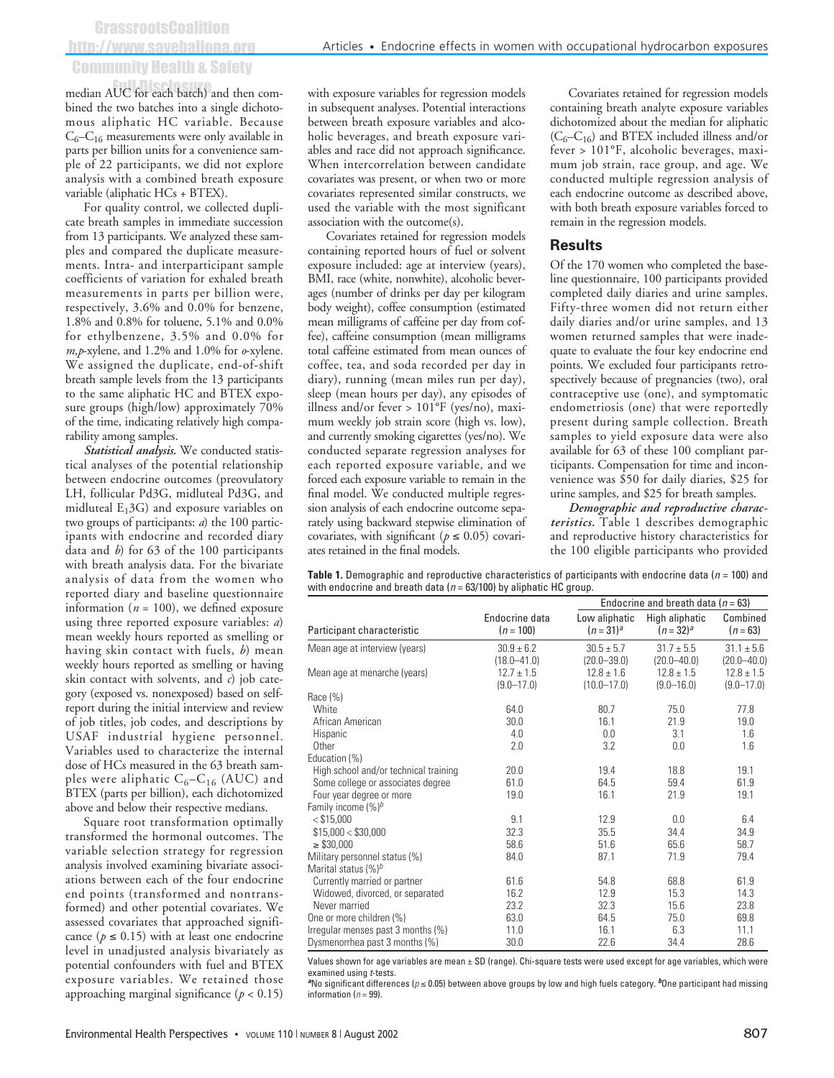## GrassrootsCoalition http://www.saveballona.org Community Health & Safety

Articles • Endocrine effects in women with occupational hydrocarbon exposures

median AUC for each batch) and then combined the two batches into a single dichotomous aliphatic HC variable. Because  $C_6-C_{16}$  measurements were only available in parts per billion units for a convenience sample of 22 participants, we did not explore analysis with a combined breath exposure variable (aliphatic HCs + BTEX).

For quality control, we collected duplicate breath samples in immediate succession from 13 participants. We analyzed these samples and compared the duplicate measurements. Intra- and interparticipant sample coefficients of variation for exhaled breath measurements in parts per billion were, respectively, 3.6% and 0.0% for benzene, 1.8% and 0.8% for toluene, 5.1% and 0.0% for ethylbenzene, 3.5% and 0.0% for *m,p*-xylene, and 1.2% and 1.0% for *o*-xylene. We assigned the duplicate, end-of-shift breath sample levels from the 13 participants to the same aliphatic HC and BTEX exposure groups (high/low) approximately 70% of the time, indicating relatively high comparability among samples.

*Statistical analysis.* We conducted statistical analyses of the potential relationship between endocrine outcomes (preovulatory LH, follicular Pd3G, midluteal Pd3G, and midluteal  $E_1$ 3G) and exposure variables on two groups of participants: *a*) the 100 participants with endocrine and recorded diary data and *b*) for 63 of the 100 participants with breath analysis data. For the bivariate analysis of data from the women who reported diary and baseline questionnaire information ( $n = 100$ ), we defined exposure using three reported exposure variables: *a*) mean weekly hours reported as smelling or having skin contact with fuels, *b*) mean weekly hours reported as smelling or having skin contact with solvents, and *c*) job category (exposed vs. nonexposed) based on selfreport during the initial interview and review of job titles, job codes, and descriptions by USAF industrial hygiene personnel. Variables used to characterize the internal dose of HCs measured in the 63 breath samples were aliphatic  $C_6 - C_{16}$  (AUC) and BTEX (parts per billion), each dichotomized above and below their respective medians.

Square root transformation optimally transformed the hormonal outcomes. The variable selection strategy for regression analysis involved examining bivariate associations between each of the four endocrine end points (transformed and nontransformed) and other potential covariates. We assessed covariates that approached significance ( $p \le 0.15$ ) with at least one endocrine level in unadjusted analysis bivariately as potential confounders with fuel and BTEX exposure variables. We retained those approaching marginal significance (*p* < 0.15)

with exposure variables for regression models in subsequent analyses. Potential interactions between breath exposure variables and alcoholic beverages, and breath exposure variables and race did not approach significance. When intercorrelation between candidate covariates was present, or when two or more covariates represented similar constructs, we used the variable with the most significant association with the outcome(s).

Covariates retained for regression models containing reported hours of fuel or solvent exposure included: age at interview (years), BMI, race (white, nonwhite), alcoholic beverages (number of drinks per day per kilogram body weight), coffee consumption (estimated mean milligrams of caffeine per day from coffee), caffeine consumption (mean milligrams total caffeine estimated from mean ounces of coffee, tea, and soda recorded per day in diary), running (mean miles run per day), sleep (mean hours per day), any episodes of illness and/or fever > 101°F (yes/no), maximum weekly job strain score (high vs. low), and currently smoking cigarettes (yes/no). We conducted separate regression analyses for each reported exposure variable, and we forced each exposure variable to remain in the final model. We conducted multiple regression analysis of each endocrine outcome separately using backward stepwise elimination of covariates, with significant ( $p \le 0.05$ ) covariates retained in the final models.

Covariates retained for regression models containing breath analyte exposure variables dichotomized about the median for aliphatic  $(C_6-C_{16})$  and BTEX included illness and/or fever > 101°F, alcoholic beverages, maximum job strain, race group, and age. We conducted multiple regression analysis of each endocrine outcome as described above, with both breath exposure variables forced to remain in the regression models.

### **Results**

Of the 170 women who completed the baseline questionnaire, 100 participants provided completed daily diaries and urine samples. Fifty-three women did not return either daily diaries and/or urine samples, and 13 women returned samples that were inadequate to evaluate the four key endocrine end points. We excluded four participants retrospectively because of pregnancies (two), oral contraceptive use (one), and symptomatic endometriosis (one) that were reportedly present during sample collection. Breath samples to yield exposure data were also available for 63 of these 100 compliant participants. Compensation for time and inconvenience was \$50 for daily diaries, \$25 for urine samples, and \$25 for breath samples.

*Demographic and reproductive characteristics.* Table 1 describes demographic and reproductive history characteristics for the 100 eligible participants who provided

**Table 1.** Demographic and reproductive characteristics of participants with endocrine data (*n* = 100) and with endocrine and breath data (*n* = 63/100) by aliphatic HC group.

|                                       |                                   | Endocrine and breath data ( $n = 63$ ) |                                  |                                   |  |
|---------------------------------------|-----------------------------------|----------------------------------------|----------------------------------|-----------------------------------|--|
| Participant characteristic            | Endocrine data<br>$(n = 100)$     | Low aliphatic<br>$(n=31)^{a}$          | High aliphatic<br>$(n = 32)^a$   | Combined<br>$(n = 63)$            |  |
| Mean age at interview (years)         | $30.9 \pm 6.2$<br>$(18.0 - 41.0)$ | $30.5 + 5.7$<br>$(20.0 - 39.0)$        | $31.7 + 5.5$<br>$(20.0 - 40.0)$  | $31.1 \pm 5.6$<br>$(20.0 - 40.0)$ |  |
| Mean age at menarche (years)          | $12.7 \pm 1.5$<br>$(9.0 - 17.0)$  | $12.8 \pm 1.6$<br>$(10.0 - 17.0)$      | $12.8 \pm 1.5$<br>$(9.0 - 16.0)$ | $12.8 \pm 1.5$<br>$(9.0 - 17.0)$  |  |
| Race $(\%)$                           |                                   |                                        |                                  |                                   |  |
| White                                 | 64.0                              | 80.7                                   | 75.0                             | 77.8                              |  |
| African American                      | 30.0                              | 16.1                                   | 21.9                             | 19.0                              |  |
| Hispanic                              | 4.0                               | 0.0                                    | 3.1                              | 1.6                               |  |
| Other                                 | 2.0                               | 3.2                                    | 0.0                              | 1.6                               |  |
| Education (%)                         |                                   |                                        |                                  |                                   |  |
| High school and/or technical training | 20.0                              | 19.4                                   | 18.8                             | 19.1                              |  |
| Some college or associates degree     | 61.0                              | 64.5                                   | 59.4                             | 61.9                              |  |
| Four year degree or more              | 19.0                              | 16.1                                   | 21.9                             | 19.1                              |  |
| Family income $(\%)^b$                |                                   |                                        |                                  |                                   |  |
| $<$ \$15,000                          | 9.1                               | 12.9                                   | 0.0                              | 6.4                               |  |
| \$15,000 < \$30,000                   | 32.3                              | 35.5                                   | 34.4                             | 34.9                              |  |
| $\geq$ \$30,000                       | 58.6                              | 51.6                                   | 65.6                             | 58.7                              |  |
| Military personnel status (%)         | 84.0                              | 87.1                                   | 71.9                             | 79.4                              |  |
| Marital status $(\%)^b$               |                                   |                                        |                                  |                                   |  |
| Currently married or partner          | 61.6                              | 54.8                                   | 68.8                             | 61.9                              |  |
| Widowed, divorced, or separated       | 16.2                              | 12.9                                   | 15.3                             | 14.3                              |  |
| Never married                         | 23.2                              | 32.3                                   | 15.6                             | 23.8                              |  |
| One or more children (%)              | 63.0                              | 64.5                                   | 75.0                             | 69.8                              |  |
| Irregular menses past 3 months (%)    | 11.0                              | 16.1                                   | 6.3                              | 11.1                              |  |
| Dysmenorrhea past 3 months (%)        | 30.0                              | 22.6                                   | 34.4                             | 28.6                              |  |

Values shown for age variables are mean  $\pm$  SD (range). Chi-square tests were used except for age variables, which were examined using *t*-tests.

*<sup>a</sup>*No significant differences (*p* ≤ 0.05) between above groups by low and high fuels category. *b*One participant had missing information ( $n = 99$ ).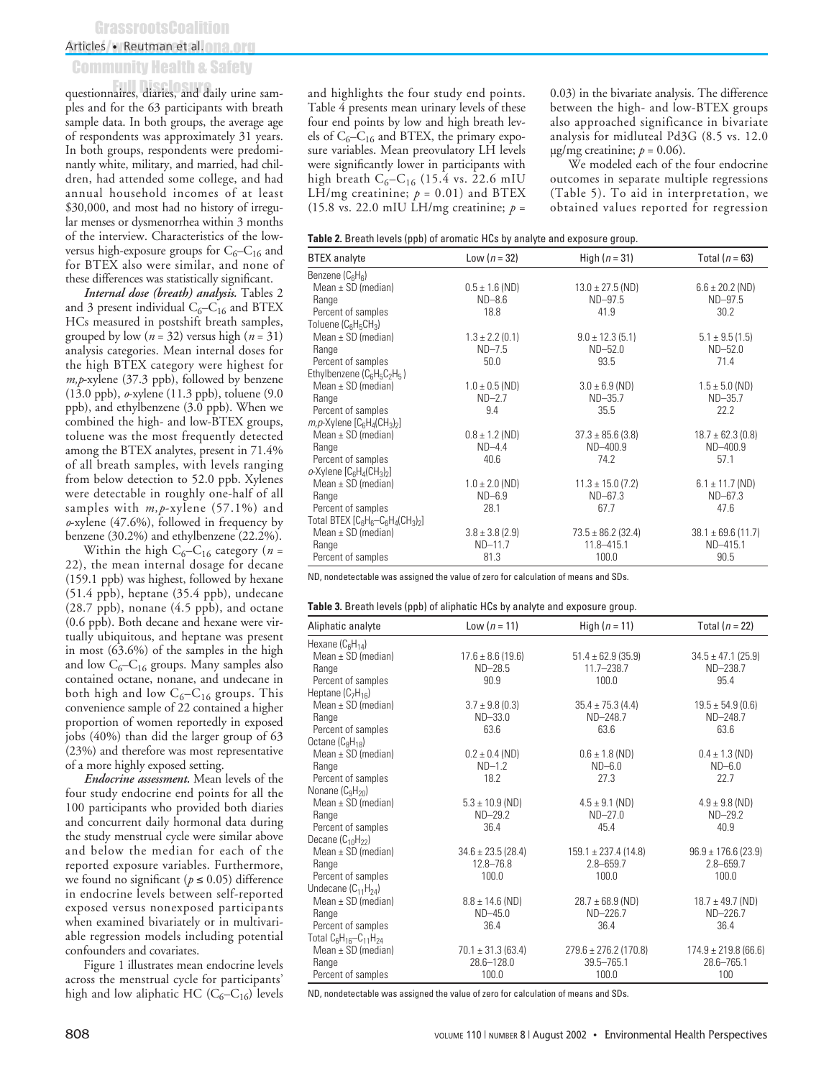## Articles • Reutman et al.

# Community Health & Safety

questionnaires, diaries, and daily urine samples and for the 63 participants with breath sample data. In both groups, the average age of respondents was approximately 31 years. In both groups, respondents were predominantly white, military, and married, had children, had attended some college, and had annual household incomes of at least \$30,000, and most had no history of irregular menses or dysmenorrhea within 3 months of the interview. Characteristics of the lowversus high-exposure groups for  $C_6-C_{16}$  and for BTEX also were similar, and none of these differences was statistically significant.

*Internal dose (breath) analysis.* Tables 2 and 3 present individual  $C_6-C_{16}$  and BTEX HCs measured in postshift breath samples, grouped by low  $(n = 32)$  versus high  $(n = 31)$ analysis categories. Mean internal doses for the high BTEX category were highest for *m,p*-xylene (37.3 ppb), followed by benzene (13.0 ppb), *o*-xylene (11.3 ppb), toluene (9.0 ppb), and ethylbenzene (3.0 ppb). When we combined the high- and low-BTEX groups, toluene was the most frequently detected among the BTEX analytes, present in 71.4% of all breath samples, with levels ranging from below detection to 52.0 ppb. Xylenes were detectable in roughly one-half of all samples with *m,p*-xylene (57.1%) and *o*-xylene (47.6%), followed in frequency by benzene (30.2%) and ethylbenzene (22.2%).

Within the high  $C_6-C_{16}$  category ( $n =$ 22), the mean internal dosage for decane (159.1 ppb) was highest, followed by hexane (51.4 ppb), heptane (35.4 ppb), undecane (28.7 ppb), nonane (4.5 ppb), and octane (0.6 ppb). Both decane and hexane were virtually ubiquitous, and heptane was present in most (63.6%) of the samples in the high and low  $C_6-C_{16}$  groups. Many samples also contained octane, nonane, and undecane in both high and low  $C_6 - C_{16}$  groups. This convenience sample of 22 contained a higher proportion of women reportedly in exposed jobs (40%) than did the larger group of 63 (23%) and therefore was most representative of a more highly exposed setting.

*Endocrine assessment.* Mean levels of the four study endocrine end points for all the 100 participants who provided both diaries and concurrent daily hormonal data during the study menstrual cycle were similar above and below the median for each of the reported exposure variables. Furthermore, we found no significant ( $p \le 0.05$ ) difference in endocrine levels between self-reported exposed versus nonexposed participants when examined bivariately or in multivariable regression models including potential confounders and covariates.

Figure 1 illustrates mean endocrine levels across the menstrual cycle for participants' high and low aliphatic HC ( $C_6-C_{16}$ ) levels

and highlights the four study end points. Table 4 presents mean urinary levels of these four end points by low and high breath levels of  $C_6$ – $C_{16}$  and BTEX, the primary exposure variables. Mean preovulatory LH levels were significantly lower in participants with high breath  $C_6-C_{16}$  (15.4 vs. 22.6 mIU LH/mg creatinine;  $p = 0.01$ ) and BTEX (15.8 vs. 22.0 mIU LH/mg creatinine; *p* =

0.03) in the bivariate analysis. The difference between the high- and low-BTEX groups also approached significance in bivariate analysis for midluteal Pd3G (8.5 vs. 12.0  $\mu$ g/mg creatinine;  $p = 0.06$ ).

We modeled each of the four endocrine outcomes in separate multiple regressions (Table 5). To aid in interpretation, we obtained values reported for regression

| <b>Table 2.</b> Breath levels (ppb) of aromatic HCs by analyte and exposure group. |  |  |
|------------------------------------------------------------------------------------|--|--|
|------------------------------------------------------------------------------------|--|--|

| <b>BTEX</b> analyte                  | Low $(n = 32)$      | High $(n = 31)$        | Total ( $n = 63$ )     |
|--------------------------------------|---------------------|------------------------|------------------------|
| Benzene $(C_6H_6)$                   |                     |                        |                        |
| Mean $\pm$ SD (median)               | $0.5 \pm 1.6$ (ND)  | $13.0 \pm 27.5$ (ND)   | $6.6 \pm 20.2$ (ND)    |
| Range                                | $ND-8.6$            | $ND-97.5$              | $ND-97.5$              |
| Percent of samples                   | 18.8                | 41.9                   | 30.2                   |
| Toluene $(C_6H_5CH_3)$               |                     |                        |                        |
| Mean $\pm$ SD (median)               | $1.3 \pm 2.2$ (0.1) | $9.0 \pm 12.3$ (5.1)   | $5.1 \pm 9.5(1.5)$     |
| Range                                | $ND-7.5$            | $ND - 52.0$            | $ND - 52.0$            |
| Percent of samples                   | 50.0                | 93.5                   | 71.4                   |
| Ethylbenzene $(C_6H_5C_2H_5)$        |                     |                        |                        |
| Mean $\pm$ SD (median)               | $1.0 \pm 0.5$ (ND)  | $3.0 \pm 6.9$ (ND)     | $1.5 \pm 5.0$ (ND)     |
| Range                                | $ND-2.7$            | $ND-35.7$              | $ND-35.7$              |
| Percent of samples                   | 9.4                 | 35.5                   | 22.2                   |
| $m, p$ -Xylene $[C6H4(CH3)2]$        |                     |                        |                        |
| Mean $\pm$ SD (median)               | $0.8 \pm 1.2$ (ND)  | $37.3 \pm 85.6$ (3.8)  | $18.7 \pm 62.3$ (0.8)  |
| Range                                | $ND-4.4$            | ND-400.9               | ND-400.9               |
| Percent of samples                   | 40.6                | 74.2                   | 57.1                   |
| $o$ -Xylene $[C6H4(CH3)2]$           |                     |                        |                        |
| Mean $\pm$ SD (median)               | $1.0 \pm 2.0$ (ND)  | $11.3 \pm 15.0$ (7.2)  | $6.1 \pm 11.7$ (ND)    |
| Range                                | $ND-6.9$            | $ND-67.3$              | $ND-67.3$              |
| Percent of samples                   | 28.1                | 67.7                   | 47.6                   |
| Total BTEX $[C_6H_6-C_6H_4(CH_3)_2]$ |                     |                        |                        |
| Mean $\pm$ SD (median)               | $3.8 \pm 3.8$ (2.9) | $73.5 \pm 86.2$ (32.4) | $38.1 \pm 69.6$ (11.7) |
| Range                                | ND-11.7             | 11.8-415.1             | ND-415.1               |
| Percent of samples                   | 81.3                | 100.0                  | 90.5                   |

ND, nondetectable was assigned the value of zero for calculation of means and SDs.

| Aliphatic analyte                                                     | Low $(n = 11)$         | High $(n = 11)$           | Total ( $n = 22$ )       |
|-----------------------------------------------------------------------|------------------------|---------------------------|--------------------------|
| Hexane $(C_6H_{14})$                                                  |                        |                           |                          |
| Mean $\pm$ SD (median)                                                | $17.6 \pm 8.6$ (19.6)  | $51.4 \pm 62.9$ (35.9)    | $34.5 \pm 47.1$ (25.9)   |
| Range                                                                 | $ND-28.5$              | $11.7 - 238.7$            | ND-238.7                 |
| Percent of samples                                                    | 90.9                   | 100.0                     | 95.4                     |
| Heptane $(C_7H_{16})$                                                 |                        |                           |                          |
| Mean $\pm$ SD (median)                                                | $3.7 \pm 9.8$ (0.3)    | $35.4 \pm 75.3$ (4.4)     | $19.5 \pm 54.9$ (0.6)    |
| Range                                                                 | $ND - 33.0$            | ND-248.7                  | ND-248.7                 |
| Percent of samples                                                    | 63.6                   | 63.6                      | 63.6                     |
| Octane $(C_8H_{18})$                                                  |                        |                           |                          |
| Mean $\pm$ SD (median)                                                | $0.2 \pm 0.4$ (ND)     | $0.6 \pm 1.8$ (ND)        | $0.4 \pm 1.3$ (ND)       |
| Range                                                                 | $ND-1.2$               | $ND-6.0$                  | $ND-6.0$                 |
| Percent of samples                                                    | 18.2                   | 27.3                      | 22.7                     |
| Nonane $(C_9H_{20})$                                                  |                        |                           |                          |
| Mean $\pm$ SD (median)                                                | $5.3 \pm 10.9$ (ND)    | $4.5 \pm 9.1$ (ND)        | $4.9 \pm 9.8$ (ND)       |
| Range                                                                 | $ND-29.2$              | $ND-27.0$                 | $ND-29.2$                |
| Percent of samples                                                    | 36.4                   | 45.4                      | 40.9                     |
| Decane $(C_{10}H_{22})$                                               |                        |                           |                          |
| Mean $\pm$ SD (median)                                                | $34.6 \pm 23.5$ (28.4) | $159.1 \pm 237.4$ (14.8)  | $96.9 \pm 176.6$ (23.9)  |
| Range                                                                 | $12.8 - 76.8$          | $2.8 - 659.7$             | $2.8 - 659.7$            |
| Percent of samples                                                    | 100.0                  | 100.0                     | 100.0                    |
| Undecane $(C_{11}H_{24})$                                             |                        |                           |                          |
| Mean $\pm$ SD (median)                                                | $8.8 \pm 14.6$ (ND)    | $28.7 \pm 68.9$ (ND)      | $18.7 \pm 49.7$ (ND)     |
| Range                                                                 | $ND-45.0$              | $ND-226.7$                | $ND-226.7$               |
| Percent of samples                                                    | 36.4                   | 36.4                      | 36.4                     |
| Total C <sub>6</sub> H <sub>16</sub> -C <sub>11</sub> H <sub>24</sub> |                        |                           |                          |
| Mean $\pm$ SD (median)                                                | $70.1 \pm 31.3$ (63.4) | $279.6 \pm 276.2$ (170.8) | $174.9 \pm 219.8$ (66.6) |
| Range                                                                 | 28.6-128.0             | 39.5-765.1                | 28.6-765.1               |
| Percent of samples                                                    | 100.0                  | 100.0                     | 100                      |

ND, nondetectable was assigned the value of zero for calculation of means and SDs.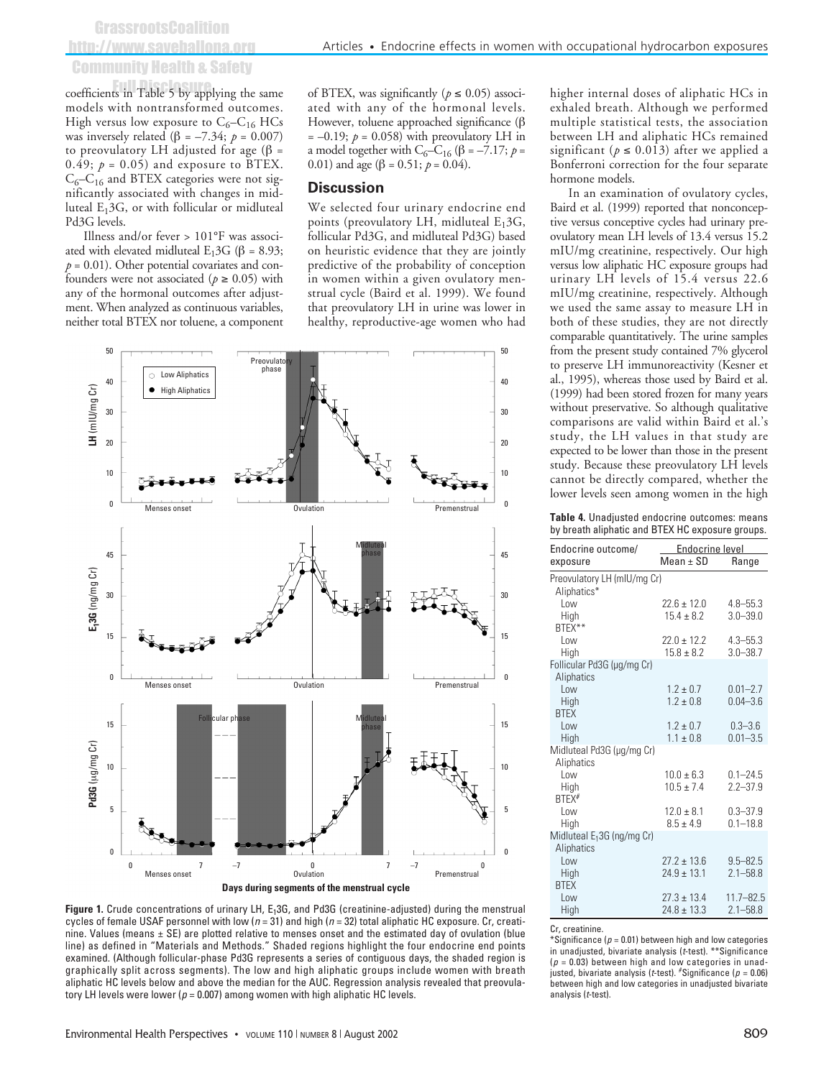## **GrassrootsCoalition** http://www.savehallona. Community Health & Safety

coefficients in Table 5 by applying the same models with nontransformed outcomes. High versus low exposure to  $C_6-C_{16}$  HCs was inversely related ( $\beta$  = -7.34;  $p = 0.007$ ) to preovulatory LH adjusted for age (β = 0.49;  $p = 0.05$ ) and exposure to BTEX.  $C_6$ – $C_{16}$  and BTEX categories were not significantly associated with changes in midluteal  $E_1$ 3G, or with follicular or midluteal Pd3G levels.

Illness and/or fever > 101°F was associated with elevated midluteal  $E_1$ 3G ( $\beta$  = 8.93;  $p = 0.01$ ). Other potential covariates and confounders were not associated ( $p \ge 0.05$ ) with any of the hormonal outcomes after adjustment. When analyzed as continuous variables, neither total BTEX nor toluene, a component of BTEX, was significantly ( $p \le 0.05$ ) associated with any of the hormonal levels. However, toluene approached significance (β  $= -0.19$ ;  $p = 0.058$ ) with preovulatory LH in a model together with  $C_6-C_{16}$  ( $\beta = -7.17$ ;  $p =$ 0.01) and age (β = 0.51;  $p = 0.04$ ).

#### **Discussion**

We selected four urinary endocrine end points (preovulatory LH, midluteal  $E_1$ 3G, follicular Pd3G, and midluteal Pd3G) based on heuristic evidence that they are jointly predictive of the probability of conception in women within a given ovulatory menstrual cycle (Baird et al. 1999). We found that preovulatory LH in urine was lower in healthy, reproductive-age women who had



**Figure 1.** Crude concentrations of urinary LH, E13G, and Pd3G (creatinine-adjusted) during the menstrual cycles of female USAF personnel with low (*n* = 31) and high (*n* = 32) total aliphatic HC exposure. Cr, creatinine. Values (means ± SE) are plotted relative to menses onset and the estimated day of ovulation (blue line) as defined in "Materials and Methods." Shaded regions highlight the four endocrine end points examined. (Although follicular-phase Pd3G represents a series of contiguous days, the shaded region is graphically split across segments). The low and high aliphatic groups include women with breath aliphatic HC levels below and above the median for the AUC. Regression analysis revealed that preovulatory LH levels were lower ( $p = 0.007$ ) among women with high aliphatic HC levels.

higher internal doses of aliphatic HCs in exhaled breath. Although we performed multiple statistical tests, the association between LH and aliphatic HCs remained significant ( $p \le 0.013$ ) after we applied a Bonferroni correction for the four separate hormone models.

In an examination of ovulatory cycles, Baird et al. (1999) reported that nonconceptive versus conceptive cycles had urinary preovulatory mean LH levels of 13.4 versus 15.2 mIU/mg creatinine, respectively. Our high versus low aliphatic HC exposure groups had urinary LH levels of 15.4 versus 22.6 mIU/mg creatinine, respectively. Although we used the same assay to measure LH in both of these studies, they are not directly comparable quantitatively. The urine samples from the present study contained 7% glycerol to preserve LH immunoreactivity (Kesner et al., 1995), whereas those used by Baird et al. (1999) had been stored frozen for many years without preservative. So although qualitative comparisons are valid within Baird et al.'s study, the LH values in that study are expected to be lower than those in the present study. Because these preovulatory LH levels cannot be directly compared, whether the lower levels seen among women in the high

**Table 4.** Unadjusted endocrine outcomes: means by breath aliphatic and BTEX HC exposure groups.

| exposure                      | Mean $\pm$ SD   | Range                       |  |  |  |  |
|-------------------------------|-----------------|-----------------------------|--|--|--|--|
|                               |                 |                             |  |  |  |  |
|                               |                 | Preovulatory LH (mIU/mg Cr) |  |  |  |  |
| Aliphatics*                   |                 |                             |  |  |  |  |
| Low                           | $22.6 \pm 12.0$ | $4.8 - 55.3$                |  |  |  |  |
| High                          | $15.4 \pm 8.2$  | $3.0 - 39.0$                |  |  |  |  |
| BTEX**                        |                 |                             |  |  |  |  |
| Low                           | $22.0 \pm 12.2$ | $4.3 - 55.3$                |  |  |  |  |
| High                          | $15.8 \pm 8.2$  | $3.0 - 38.7$                |  |  |  |  |
| Follicular Pd3G (µg/mg Cr)    |                 |                             |  |  |  |  |
| Aliphatics                    |                 |                             |  |  |  |  |
| Low                           | $1.2 \pm 0.7$   | $0.01 - 2.7$                |  |  |  |  |
| High                          | $1.2 \pm 0.8$   | $0.04 - 3.6$                |  |  |  |  |
| <b>BTEX</b>                   |                 |                             |  |  |  |  |
| Low                           | $1.2 \pm 0.7$   | $0.3 - 3.6$                 |  |  |  |  |
| High                          | $1.1 \pm 0.8$   | $0.01 - 3.5$                |  |  |  |  |
| Midluteal Pd3G (µg/mg Cr)     |                 |                             |  |  |  |  |
| Aliphatics                    |                 |                             |  |  |  |  |
| Low                           | $10.0 \pm 6.3$  | $0.1 - 24.5$                |  |  |  |  |
| High<br>BTEX <sup>#</sup>     | $10.5 \pm 7.4$  | $2.2 - 37.9$                |  |  |  |  |
| Low                           | $12.0 \pm 8.1$  | $0.3 - 37.9$                |  |  |  |  |
| High                          | $8.5 \pm 4.9$   | $0.1 - 18.8$                |  |  |  |  |
| Midluteal $E_1$ 3G (ng/mg Cr) |                 |                             |  |  |  |  |
| Aliphatics                    |                 |                             |  |  |  |  |
| Low                           | $27.2 \pm 13.6$ | $9.5 - 82.5$                |  |  |  |  |
| High                          | $24.9 \pm 13.1$ | $2.1 - 58.8$                |  |  |  |  |
| <b>BTEX</b>                   |                 |                             |  |  |  |  |
| Low                           | $27.3 \pm 13.4$ | $11.7 - 82.5$               |  |  |  |  |
| High                          | $24.8 \pm 13.3$ | $2.1 - 58.8$                |  |  |  |  |

Cr, creatinine.

<sup>\*</sup>Significance ( $p = 0.01$ ) between high and low categories in unadjusted, bivariate analysis (*t*-test). \*\*Significance (*p* = 0.03) between high and low categories in unadjusted, bivariate analysis (*t*-test). # Significance (*p* = 0.06) between high and low categories in unadjusted bivariate analysis (*t*-test).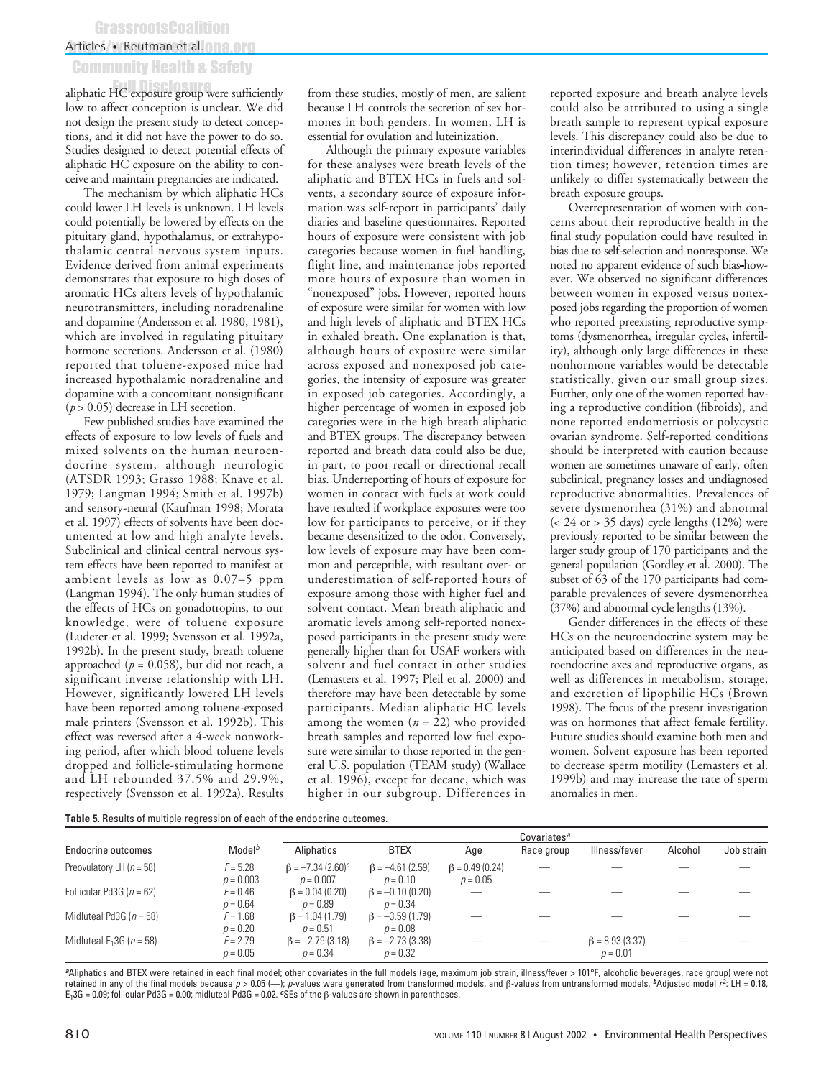## Articles • Reutman et al. Community Health & Safety

#### aliphatic HC exposure group were sufficiently low to affect conception is unclear. We did not design the present study to detect conceptions, and it did not have the power to do so. Studies designed to detect potential effects of aliphatic HC exposure on the ability to conceive and maintain pregnancies are indicated.

The mechanism by which aliphatic HCs could lower LH levels is unknown. LH levels could potentially be lowered by effects on the pituitary gland, hypothalamus, or extrahypothalamic central nervous system inputs. Evidence derived from animal experiments demonstrates that exposure to high doses of aromatic HCs alters levels of hypothalamic neurotransmitters, including noradrenaline and dopamine (Andersson et al. 1980, 1981), which are involved in regulating pituitary hormone secretions. Andersson et al. (1980) reported that toluene-exposed mice had increased hypothalamic noradrenaline and dopamine with a concomitant nonsignificant  $(p > 0.05)$  decrease in LH secretion.

Few published studies have examined the effects of exposure to low levels of fuels and mixed solvents on the human neuroendocrine system, although neurologic (ATSDR 1993; Grasso 1988; Knave et al. 1979; Langman 1994; Smith et al. 1997b) and sensory-neural (Kaufman 1998; Morata et al. 1997) effects of solvents have been documented at low and high analyte levels. Subclinical and clinical central nervous system effects have been reported to manifest at ambient levels as low as 0.07–5 ppm (Langman 1994). The only human studies of the effects of HCs on gonadotropins, to our knowledge, were of toluene exposure (Luderer et al. 1999; Svensson et al. 1992a, 1992b). In the present study, breath toluene approached ( $p = 0.058$ ), but did not reach, a significant inverse relationship with LH. However, significantly lowered LH levels have been reported among toluene-exposed male printers (Svensson et al. 1992b). This effect was reversed after a 4-week nonworking period, after which blood toluene levels dropped and follicle-stimulating hormone and LH rebounded 37.5% and 29.9%, respectively (Svensson et al. 1992a). Results

from these studies, mostly of men, are salient because LH controls the secretion of sex hormones in both genders. In women, LH is essential for ovulation and luteinization.

Although the primary exposure variables for these analyses were breath levels of the aliphatic and BTEX HCs in fuels and solvents, a secondary source of exposure information was self-report in participants' daily diaries and baseline questionnaires. Reported hours of exposure were consistent with job categories because women in fuel handling, flight line, and maintenance jobs reported more hours of exposure than women in "nonexposed" jobs. However, reported hours of exposure were similar for women with low and high levels of aliphatic and BTEX HCs in exhaled breath. One explanation is that, although hours of exposure were similar across exposed and nonexposed job categories, the intensity of exposure was greater in exposed job categories. Accordingly, a higher percentage of women in exposed job categories were in the high breath aliphatic and BTEX groups. The discrepancy between reported and breath data could also be due, in part, to poor recall or directional recall bias. Underreporting of hours of exposure for women in contact with fuels at work could have resulted if workplace exposures were too low for participants to perceive, or if they became desensitized to the odor. Conversely, low levels of exposure may have been common and perceptible, with resultant over- or underestimation of self-reported hours of exposure among those with higher fuel and solvent contact. Mean breath aliphatic and aromatic levels among self-reported nonexposed participants in the present study were generally higher than for USAF workers with solvent and fuel contact in other studies (Lemasters et al. 1997; Pleil et al. 2000) and therefore may have been detectable by some participants. Median aliphatic HC levels among the women  $(n = 22)$  who provided breath samples and reported low fuel exposure were similar to those reported in the general U.S. population (TEAM study) (Wallace et al. 1996), except for decane, which was higher in our subgroup. Differences in reported exposure and breath analyte levels could also be attributed to using a single breath sample to represent typical exposure levels. This discrepancy could also be due to interindividual differences in analyte retention times; however, retention times are unlikely to differ systematically between the breath exposure groups.

Overrepresentation of women with concerns about their reproductive health in the final study population could have resulted in bias due to self-selection and nonresponse. We noted no apparent evidence of such bias-however. We observed no significant differences between women in exposed versus nonexposed jobs regarding the proportion of women who reported preexisting reproductive symptoms (dysmenorrhea, irregular cycles, infertility), although only large differences in these nonhormone variables would be detectable statistically, given our small group sizes. Further, only one of the women reported having a reproductive condition (fibroids), and none reported endometriosis or polycystic ovarian syndrome. Self-reported conditions should be interpreted with caution because women are sometimes unaware of early, often subclinical, pregnancy losses and undiagnosed reproductive abnormalities. Prevalences of severe dysmenorrhea (31%) and abnormal (< 24 or > 35 days) cycle lengths (12%) were previously reported to be similar between the larger study group of 170 participants and the general population (Gordley et al. 2000). The subset of 63 of the 170 participants had comparable prevalences of severe dysmenorrhea (37%) and abnormal cycle lengths (13%).

Gender differences in the effects of these HCs on the neuroendocrine system may be anticipated based on differences in the neuroendocrine axes and reproductive organs, as well as differences in metabolism, storage, and excretion of lipophilic HCs (Brown 1998). The focus of the present investigation was on hormones that affect female fertility. Future studies should examine both men and women. Solvent exposure has been reported to decrease sperm motility (Lemasters et al. 1999b) and may increase the rate of sperm anomalies in men.

|                                 |                    | Covariates <sup>a</sup> |                        |                      |            |                      |         |            |
|---------------------------------|--------------------|-------------------------|------------------------|----------------------|------------|----------------------|---------|------------|
| Endocrine outcomes              | Model <sup>b</sup> | Aliphatics              | <b>BTEX</b>            | Age                  | Race group | Illness/fever        | Alcohol | Job strain |
| Preovulatory LH $(n = 58)$      | $F = 5.28$         | $\beta = -7.34(2.60)^c$ | $\beta = -4.61$ (2.59) | $\beta = 0.49(0.24)$ |            |                      |         |            |
|                                 | $p = 0.003$        | $p = 0.007$             | $p = 0.10$             | $p = 0.05$           |            |                      |         |            |
| Follicular Pd3G ( $n = 62$ )    | $F = 0.46$         | $\beta = 0.04(0.20)$    | $\beta = -0.10(0.20)$  |                      |            |                      |         |            |
|                                 | $p = 0.64$         | $p = 0.89$              | $p = 0.34$             |                      |            |                      |         |            |
| Midluteal Pd3G $(n = 58)$       | $F = 1.68$         | $\beta$ = 1.04 (1.79)   | $\beta = -3.59(1.79)$  |                      |            |                      |         |            |
|                                 | $p = 0.20$         | $p = 0.51$              | $p = 0.08$             |                      |            |                      |         |            |
| Midluteal $E_1$ 3G ( $n = 58$ ) | $F = 2.79$         | $\beta = -2.79(3.18)$   | $\beta = -2.73$ (3.38) |                      |            | $\beta = 8.93(3.37)$ |         |            |
|                                 | $p = 0.05$         | $p = 0.34$              | $p = 0.32$             |                      |            | $p = 0.01$           |         |            |

<sup>a</sup>Aliphatics and BTEX were retained in each final model; other covariates in the full models (age, maximum job strain, illness/fever > 101°F, alcoholic beverages, race group) were not retained in any of the final models because *p* > 0.05 (—); *p*-values were generated from transformed models, and β-values from untransformed models. <sup>β</sup>Adjusted model r<sup>2</sup>: LH = 0.18, E13G = 0.09; follicular Pd3G = 0.00; midluteal Pd3G = 0.02. *<sup>c</sup>*SEs of the β-values are shown in parentheses.